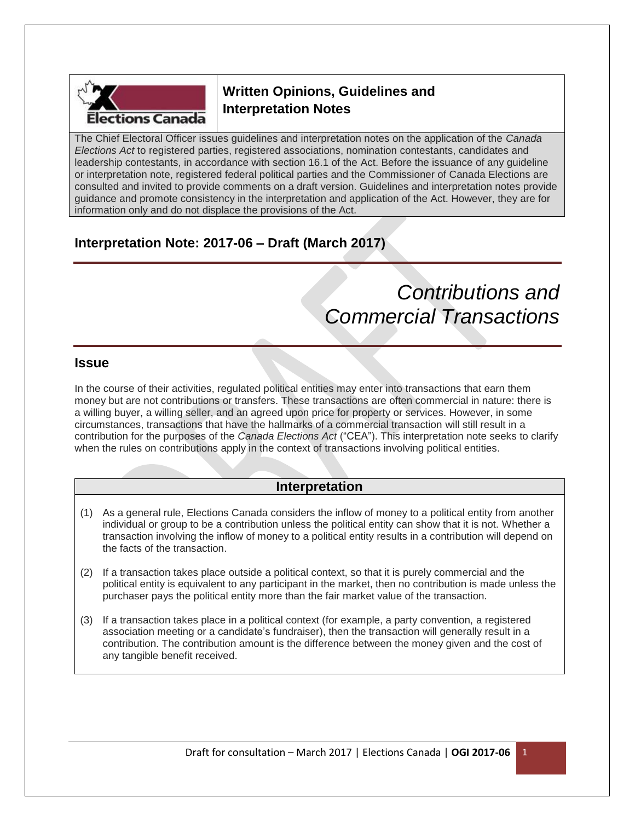

# **Written Opinions, Guidelines and Interpretation Notes**

The Chief Electoral Officer issues guidelines and interpretation notes on the application of the *Canada Elections Act* to registered parties, registered associations, nomination contestants, candidates and leadership contestants, in accordance with section 16.1 of the Act. Before the issuance of any guideline or interpretation note, registered federal political parties and the Commissioner of Canada Elections are consulted and invited to provide comments on a draft version. Guidelines and interpretation notes provide guidance and promote consistency in the interpretation and application of the Act. However, they are for information only and do not displace the provisions of the Act.

# **Interpretation Note: 2017-06 – Draft (March 2017)**

# *Contributions and Commercial Transactions*

### **Issue**

In the course of their activities, regulated political entities may enter into transactions that earn them money but are not contributions or transfers. These transactions are often commercial in nature: there is a willing buyer, a willing seller, and an agreed upon price for property or services. However, in some circumstances, transactions that have the hallmarks of a commercial transaction will still result in a contribution for the purposes of the *Canada Elections Act* ("CEA"). This interpretation note seeks to clarify when the rules on contributions apply in the context of transactions involving political entities.

## **Interpretation**

- (1) As a general rule, Elections Canada considers the inflow of money to a political entity from another individual or group to be a contribution unless the political entity can show that it is not. Whether a transaction involving the inflow of money to a political entity results in a contribution will depend on the facts of the transaction.
- (2) If a transaction takes place outside a political context, so that it is purely commercial and the political entity is equivalent to any participant in the market, then no contribution is made unless the purchaser pays the political entity more than the fair market value of the transaction.
- (3) If a transaction takes place in a political context (for example, a party convention, a registered association meeting or a candidate's fundraiser), then the transaction will generally result in a contribution. The contribution amount is the difference between the money given and the cost of any tangible benefit received.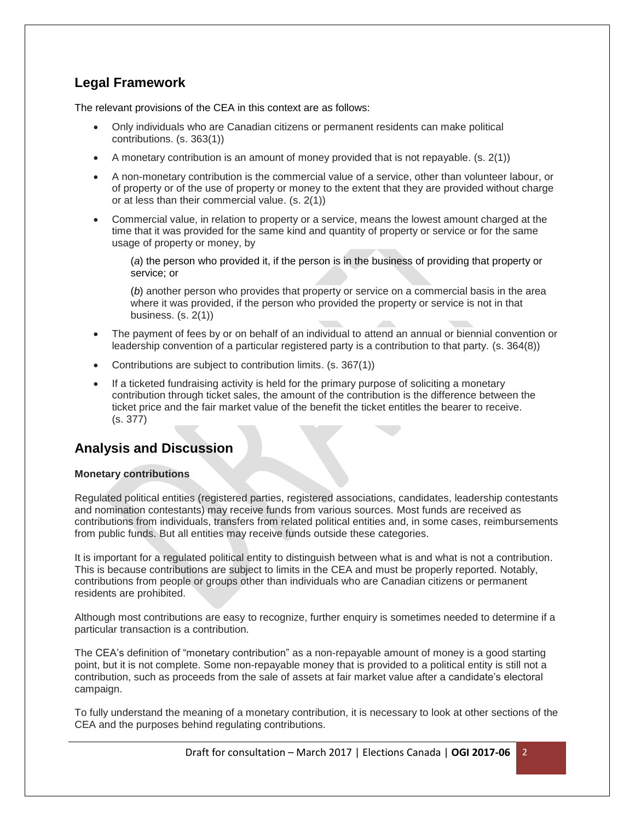## **Legal Framework**

The relevant provisions of the CEA in this context are as follows:

- Only individuals who are Canadian citizens or permanent residents can make political contributions. (s. 363(1))
- $\bullet$  A monetary contribution is an amount of money provided that is not repayable. (s. 2(1))
- A non-monetary contribution is the commercial value of a service, other than volunteer labour, or of property or of the use of property or money to the extent that they are provided without charge or at less than their commercial value. (s. 2(1))
- Commercial value, in relation to property or a service, means the lowest amount charged at the time that it was provided for the same kind and quantity of property or service or for the same usage of property or money, by

(*a*) the person who provided it, if the person is in the business of providing that property or service; or

(*b*) another person who provides that property or service on a commercial basis in the area where it was provided, if the person who provided the property or service is not in that business. (s. 2(1))

- The payment of fees by or on behalf of an individual to attend an annual or biennial convention or leadership convention of a particular registered party is a contribution to that party. (s. 364(8))
- Contributions are subject to contribution limits. (s. 367(1))
- If a ticketed fundraising activity is held for the primary purpose of soliciting a monetary contribution through ticket sales, the amount of the contribution is the difference between the ticket price and the fair market value of the benefit the ticket entitles the bearer to receive. (s. 377)

## **Analysis and Discussion**

#### **Monetary contributions**

Regulated political entities (registered parties, registered associations, candidates, leadership contestants and nomination contestants) may receive funds from various sources. Most funds are received as contributions from individuals, transfers from related political entities and, in some cases, reimbursements from public funds. But all entities may receive funds outside these categories.

It is important for a regulated political entity to distinguish between what is and what is not a contribution. This is because contributions are subject to limits in the CEA and must be properly reported. Notably, contributions from people or groups other than individuals who are Canadian citizens or permanent residents are prohibited.

Although most contributions are easy to recognize, further enquiry is sometimes needed to determine if a particular transaction is a contribution.

The CEA's definition of "monetary contribution" as a non-repayable amount of money is a good starting point, but it is not complete. Some non-repayable money that is provided to a political entity is still not a contribution, such as proceeds from the sale of assets at fair market value after a candidate's electoral campaign.

To fully understand the meaning of a monetary contribution, it is necessary to look at other sections of the CEA and the purposes behind regulating contributions.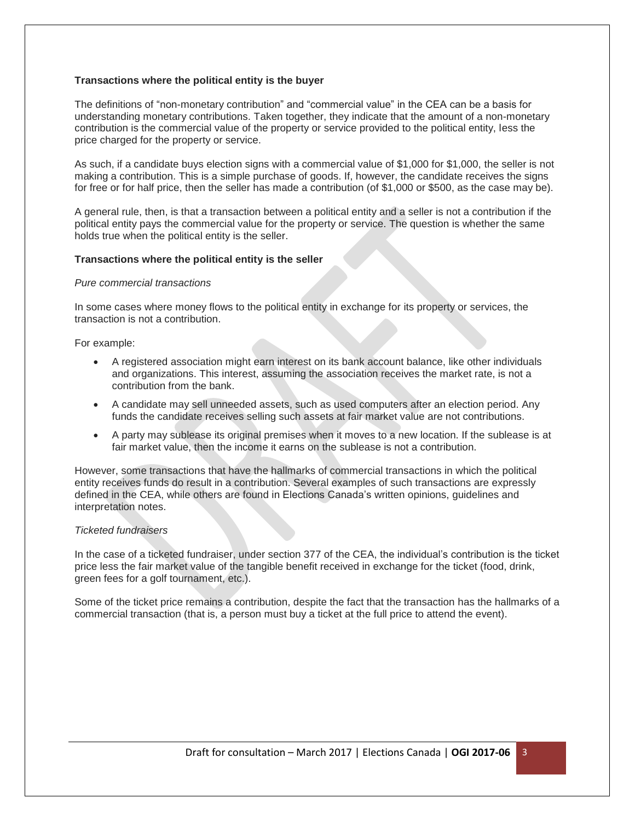#### **Transactions where the political entity is the buyer**

The definitions of "non-monetary contribution" and "commercial value" in the CEA can be a basis for understanding monetary contributions. Taken together, they indicate that the amount of a non-monetary contribution is the commercial value of the property or service provided to the political entity, less the price charged for the property or service.

As such, if a candidate buys election signs with a commercial value of \$1,000 for \$1,000, the seller is not making a contribution. This is a simple purchase of goods. If, however, the candidate receives the signs for free or for half price, then the seller has made a contribution (of \$1,000 or \$500, as the case may be).

A general rule, then, is that a transaction between a political entity and a seller is not a contribution if the political entity pays the commercial value for the property or service. The question is whether the same holds true when the political entity is the seller.

#### **Transactions where the political entity is the seller**

#### *Pure commercial transactions*

In some cases where money flows to the political entity in exchange for its property or services, the transaction is not a contribution.

For example:

- A registered association might earn interest on its bank account balance, like other individuals and organizations. This interest, assuming the association receives the market rate, is not a contribution from the bank.
- A candidate may sell unneeded assets, such as used computers after an election period. Any funds the candidate receives selling such assets at fair market value are not contributions.
- A party may sublease its original premises when it moves to a new location. If the sublease is at fair market value, then the income it earns on the sublease is not a contribution.

However, some transactions that have the hallmarks of commercial transactions in which the political entity receives funds do result in a contribution. Several examples of such transactions are expressly defined in the CEA, while others are found in Elections Canada's written opinions, guidelines and interpretation notes.

#### *Ticketed fundraisers*

In the case of a ticketed fundraiser, under section 377 of the CEA, the individual's contribution is the ticket price less the fair market value of the tangible benefit received in exchange for the ticket (food, drink, green fees for a golf tournament, etc.).

Some of the ticket price remains a contribution, despite the fact that the transaction has the hallmarks of a commercial transaction (that is, a person must buy a ticket at the full price to attend the event).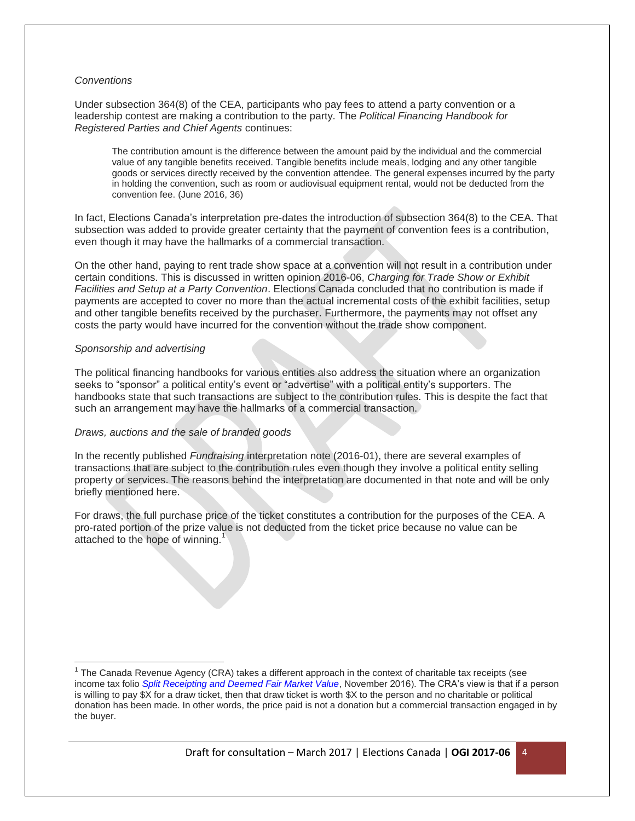#### *Conventions*

Under subsection 364(8) of the CEA, participants who pay fees to attend a party convention or a leadership contest are making a contribution to the party. The *Political Financing Handbook for Registered Parties and Chief Agents* continues:

The contribution amount is the difference between the amount paid by the individual and the commercial value of any tangible benefits received. Tangible benefits include meals, lodging and any other tangible goods or services directly received by the convention attendee. The general expenses incurred by the party in holding the convention, such as room or audiovisual equipment rental, would not be deducted from the convention fee. (June 2016, 36)

In fact, Elections Canada's interpretation pre-dates the introduction of subsection 364(8) to the CEA. That subsection was added to provide greater certainty that the payment of convention fees is a contribution, even though it may have the hallmarks of a commercial transaction.

On the other hand, paying to rent trade show space at a convention will not result in a contribution under certain conditions. This is discussed in written opinion 2016-06, *Charging for Trade Show or Exhibit Facilities and Setup at a Party Convention*. Elections Canada concluded that no contribution is made if payments are accepted to cover no more than the actual incremental costs of the exhibit facilities, setup and other tangible benefits received by the purchaser. Furthermore, the payments may not offset any costs the party would have incurred for the convention without the trade show component.

#### *Sponsorship and advertising*

l

The political financing handbooks for various entities also address the situation where an organization seeks to "sponsor" a political entity's event or "advertise" with a political entity's supporters. The handbooks state that such transactions are subject to the contribution rules. This is despite the fact that such an arrangement may have the hallmarks of a commercial transaction.

#### *Draws, auctions and the sale of branded goods*

In the recently published *Fundraising* interpretation note (2016-01), there are several examples of transactions that are subject to the contribution rules even though they involve a political entity selling property or services. The reasons behind the interpretation are documented in that note and will be only briefly mentioned here.

For draws, the full purchase price of the ticket constitutes a contribution for the purposes of the CEA. A pro-rated portion of the prize value is not deducted from the ticket price because no value can be attached to the hope of winning.<sup>1</sup>

<sup>&</sup>lt;sup>1</sup> The Canada Revenue Agency (CRA) takes a different approach in the context of charitable tax receipts (see income tax folio *[Split Receipting and Deemed Fair Market Value](http://www.cra-arc.gc.ca/tx/tchncl/ncmtx/fls/s7/f1/s7-f1-c1-eng.html)*, November 2016). The CRA's view is that if a person is willing to pay \$X for a draw ticket, then that draw ticket is worth \$X to the person and no charitable or political donation has been made. In other words, the price paid is not a donation but a commercial transaction engaged in by the buyer.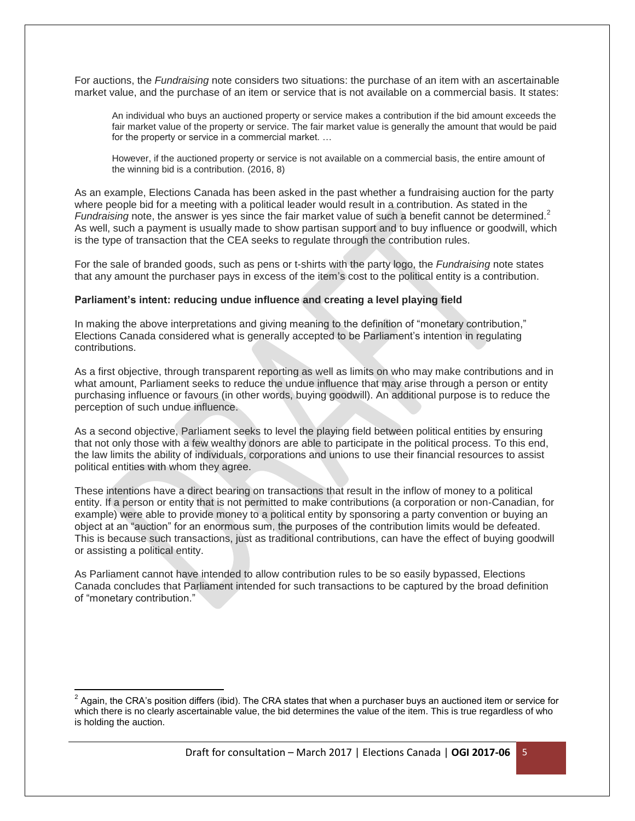For auctions, the *Fundraising* note considers two situations: the purchase of an item with an ascertainable market value, and the purchase of an item or service that is not available on a commercial basis. It states:

An individual who buys an auctioned property or service makes a contribution if the bid amount exceeds the fair market value of the property or service. The fair market value is generally the amount that would be paid for the property or service in a commercial market. …

However, if the auctioned property or service is not available on a commercial basis, the entire amount of the winning bid is a contribution. (2016, 8)

As an example, Elections Canada has been asked in the past whether a fundraising auction for the party where people bid for a meeting with a political leader would result in a contribution. As stated in the *Fundraising* note, the answer is yes since the fair market value of such a benefit cannot be determined.<sup>2</sup> As well, such a payment is usually made to show partisan support and to buy influence or goodwill, which is the type of transaction that the CEA seeks to regulate through the contribution rules.

For the sale of branded goods, such as pens or t-shirts with the party logo, the *Fundraising* note states that any amount the purchaser pays in excess of the item's cost to the political entity is a contribution.

#### **Parliament's intent: reducing undue influence and creating a level playing field**

In making the above interpretations and giving meaning to the definition of "monetary contribution," Elections Canada considered what is generally accepted to be Parliament's intention in regulating contributions.

As a first objective, through transparent reporting as well as limits on who may make contributions and in what amount, Parliament seeks to reduce the undue influence that may arise through a person or entity purchasing influence or favours (in other words, buying goodwill). An additional purpose is to reduce the perception of such undue influence.

As a second objective, Parliament seeks to level the playing field between political entities by ensuring that not only those with a few wealthy donors are able to participate in the political process. To this end, the law limits the ability of individuals, corporations and unions to use their financial resources to assist political entities with whom they agree.

These intentions have a direct bearing on transactions that result in the inflow of money to a political entity. If a person or entity that is not permitted to make contributions (a corporation or non-Canadian, for example) were able to provide money to a political entity by sponsoring a party convention or buying an object at an "auction" for an enormous sum, the purposes of the contribution limits would be defeated. This is because such transactions, just as traditional contributions, can have the effect of buying goodwill or assisting a political entity.

As Parliament cannot have intended to allow contribution rules to be so easily bypassed, Elections Canada concludes that Parliament intended for such transactions to be captured by the broad definition of "monetary contribution."

 $\overline{\phantom{a}}$  $^2$  Again, the CRA's position differs (ibid). The CRA states that when a purchaser buys an auctioned item or service for which there is no clearly ascertainable value, the bid determines the value of the item. This is true regardless of who is holding the auction.